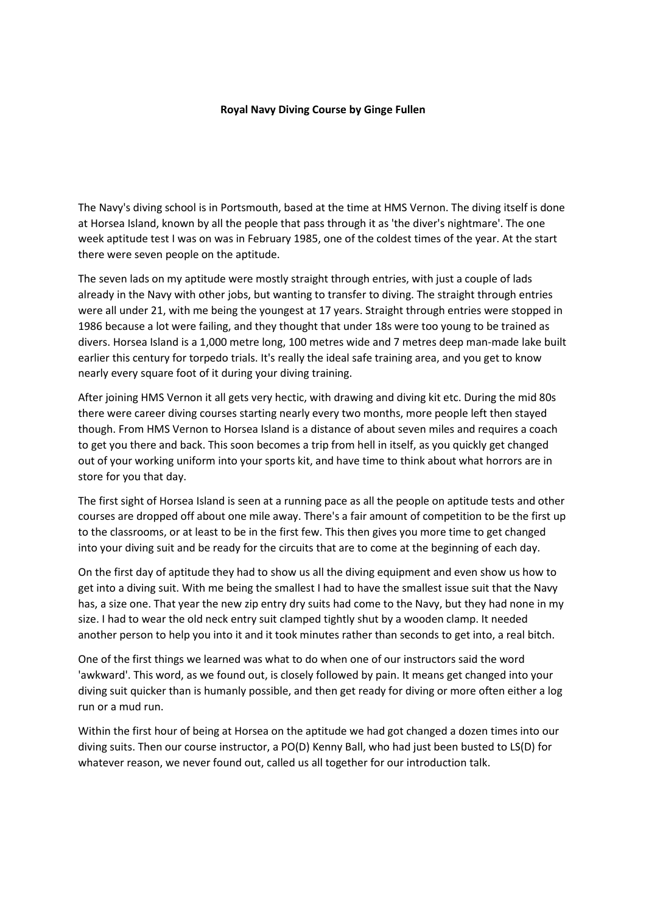## **Royal Navy Diving Course by Ginge Fullen**

The Navy's diving school is in Portsmouth, based at the time at HMS Vernon. The diving itself is done at Horsea Island, known by all the people that pass through it as 'the diver's nightmare'. The one week aptitude test I was on was in February 1985, one of the coldest times of the year. At the start there were seven people on the aptitude.

The seven lads on my aptitude were mostly straight through entries, with just a couple of lads already in the Navy with other jobs, but wanting to transfer to diving. The straight through entries were all under 21, with me being the youngest at 17 years. Straight through entries were stopped in 1986 because a lot were failing, and they thought that under 18s were too young to be trained as divers. Horsea Island is a 1,000 metre long, 100 metres wide and 7 metres deep man-made lake built earlier this century for torpedo trials. It's really the ideal safe training area, and you get to know nearly every square foot of it during your diving training.

After joining HMS Vernon it all gets very hectic, with drawing and diving kit etc. During the mid 80s there were career diving courses starting nearly every two months, more people left then stayed though. From HMS Vernon to Horsea Island is a distance of about seven miles and requires a coach to get you there and back. This soon becomes a trip from hell in itself, as you quickly get changed out of your working uniform into your sports kit, and have time to think about what horrors are in store for you that day.

The first sight of Horsea Island is seen at a running pace as all the people on aptitude tests and other courses are dropped off about one mile away. There's a fair amount of competition to be the first up to the classrooms, or at least to be in the first few. This then gives you more time to get changed into your diving suit and be ready for the circuits that are to come at the beginning of each day.

On the first day of aptitude they had to show us all the diving equipment and even show us how to get into a diving suit. With me being the smallest I had to have the smallest issue suit that the Navy has, a size one. That year the new zip entry dry suits had come to the Navy, but they had none in my size. I had to wear the old neck entry suit clamped tightly shut by a wooden clamp. It needed another person to help you into it and it took minutes rather than seconds to get into, a real bitch.

One of the first things we learned was what to do when one of our instructors said the word 'awkward'. This word, as we found out, is closely followed by pain. It means get changed into your diving suit quicker than is humanly possible, and then get ready for diving or more often either a log run or a mud run.

Within the first hour of being at Horsea on the aptitude we had got changed a dozen times into our diving suits. Then our course instructor, a PO(D) Kenny Ball, who had just been busted to LS(D) for whatever reason, we never found out, called us all together for our introduction talk.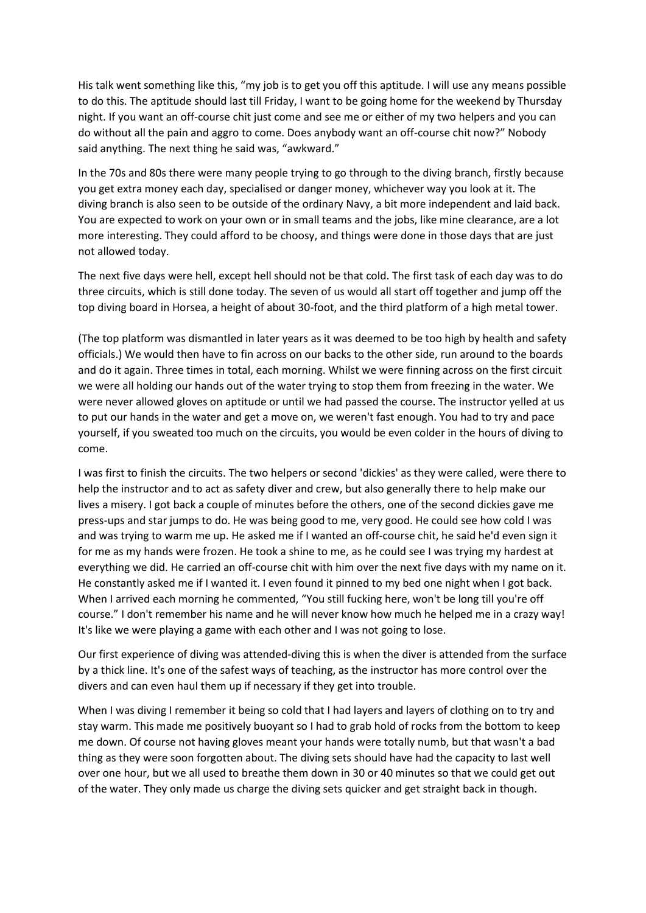His talk went something like this, "my job is to get you off this aptitude. I will use any means possible to do this. The aptitude should last till Friday, I want to be going home for the weekend by Thursday night. If you want an off-course chit just come and see me or either of my two helpers and you can do without all the pain and aggro to come. Does anybody want an off-course chit now?" Nobody said anything. The next thing he said was, "awkward."

In the 70s and 80s there were many people trying to go through to the diving branch, firstly because you get extra money each day, specialised or danger money, whichever way you look at it. The diving branch is also seen to be outside of the ordinary Navy, a bit more independent and laid back. You are expected to work on your own or in small teams and the jobs, like mine clearance, are a lot more interesting. They could afford to be choosy, and things were done in those days that are just not allowed today.

The next five days were hell, except hell should not be that cold. The first task of each day was to do three circuits, which is still done today. The seven of us would all start off together and jump off the top diving board in Horsea, a height of about 30-foot, and the third platform of a high metal tower.

(The top platform was dismantled in later years as it was deemed to be too high by health and safety officials.) We would then have to fin across on our backs to the other side, run around to the boards and do it again. Three times in total, each morning. Whilst we were finning across on the first circuit we were all holding our hands out of the water trying to stop them from freezing in the water. We were never allowed gloves on aptitude or until we had passed the course. The instructor yelled at us to put our hands in the water and get a move on, we weren't fast enough. You had to try and pace yourself, if you sweated too much on the circuits, you would be even colder in the hours of diving to come.

I was first to finish the circuits. The two helpers or second 'dickies' as they were called, were there to help the instructor and to act as safety diver and crew, but also generally there to help make our lives a misery. I got back a couple of minutes before the others, one of the second dickies gave me press-ups and star jumps to do. He was being good to me, very good. He could see how cold I was and was trying to warm me up. He asked me if I wanted an off-course chit, he said he'd even sign it for me as my hands were frozen. He took a shine to me, as he could see I was trying my hardest at everything we did. He carried an off-course chit with him over the next five days with my name on it. He constantly asked me if I wanted it. I even found it pinned to my bed one night when I got back. When I arrived each morning he commented, "You still fucking here, won't be long till you're off course." I don't remember his name and he will never know how much he helped me in a crazy way! It's like we were playing a game with each other and I was not going to lose.

Our first experience of diving was attended-diving this is when the diver is attended from the surface by a thick line. It's one of the safest ways of teaching, as the instructor has more control over the divers and can even haul them up if necessary if they get into trouble.

When I was diving I remember it being so cold that I had layers and layers of clothing on to try and stay warm. This made me positively buoyant so I had to grab hold of rocks from the bottom to keep me down. Of course not having gloves meant your hands were totally numb, but that wasn't a bad thing as they were soon forgotten about. The diving sets should have had the capacity to last well over one hour, but we all used to breathe them down in 30 or 40 minutes so that we could get out of the water. They only made us charge the diving sets quicker and get straight back in though.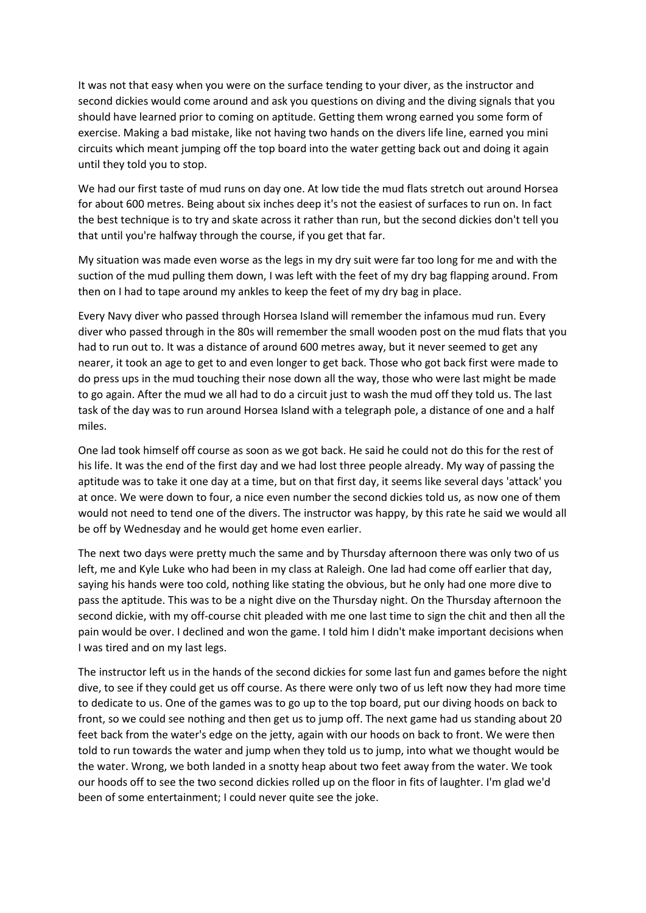It was not that easy when you were on the surface tending to your diver, as the instructor and second dickies would come around and ask you questions on diving and the diving signals that you should have learned prior to coming on aptitude. Getting them wrong earned you some form of exercise. Making a bad mistake, like not having two hands on the divers life line, earned you mini circuits which meant jumping off the top board into the water getting back out and doing it again until they told you to stop.

We had our first taste of mud runs on day one. At low tide the mud flats stretch out around Horsea for about 600 metres. Being about six inches deep it's not the easiest of surfaces to run on. In fact the best technique is to try and skate across it rather than run, but the second dickies don't tell you that until you're halfway through the course, if you get that far.

My situation was made even worse as the legs in my dry suit were far too long for me and with the suction of the mud pulling them down, I was left with the feet of my dry bag flapping around. From then on I had to tape around my ankles to keep the feet of my dry bag in place.

Every Navy diver who passed through Horsea Island will remember the infamous mud run. Every diver who passed through in the 80s will remember the small wooden post on the mud flats that you had to run out to. It was a distance of around 600 metres away, but it never seemed to get any nearer, it took an age to get to and even longer to get back. Those who got back first were made to do press ups in the mud touching their nose down all the way, those who were last might be made to go again. After the mud we all had to do a circuit just to wash the mud off they told us. The last task of the day was to run around Horsea Island with a telegraph pole, a distance of one and a half miles.

One lad took himself off course as soon as we got back. He said he could not do this for the rest of his life. It was the end of the first day and we had lost three people already. My way of passing the aptitude was to take it one day at a time, but on that first day, it seems like several days 'attack' you at once. We were down to four, a nice even number the second dickies told us, as now one of them would not need to tend one of the divers. The instructor was happy, by this rate he said we would all be off by Wednesday and he would get home even earlier.

The next two days were pretty much the same and by Thursday afternoon there was only two of us left, me and Kyle Luke who had been in my class at Raleigh. One lad had come off earlier that day, saying his hands were too cold, nothing like stating the obvious, but he only had one more dive to pass the aptitude. This was to be a night dive on the Thursday night. On the Thursday afternoon the second dickie, with my off-course chit pleaded with me one last time to sign the chit and then all the pain would be over. I declined and won the game. I told him I didn't make important decisions when I was tired and on my last legs.

The instructor left us in the hands of the second dickies for some last fun and games before the night dive, to see if they could get us off course. As there were only two of us left now they had more time to dedicate to us. One of the games was to go up to the top board, put our diving hoods on back to front, so we could see nothing and then get us to jump off. The next game had us standing about 20 feet back from the water's edge on the jetty, again with our hoods on back to front. We were then told to run towards the water and jump when they told us to jump, into what we thought would be the water. Wrong, we both landed in a snotty heap about two feet away from the water. We took our hoods off to see the two second dickies rolled up on the floor in fits of laughter. I'm glad we'd been of some entertainment; I could never quite see the joke.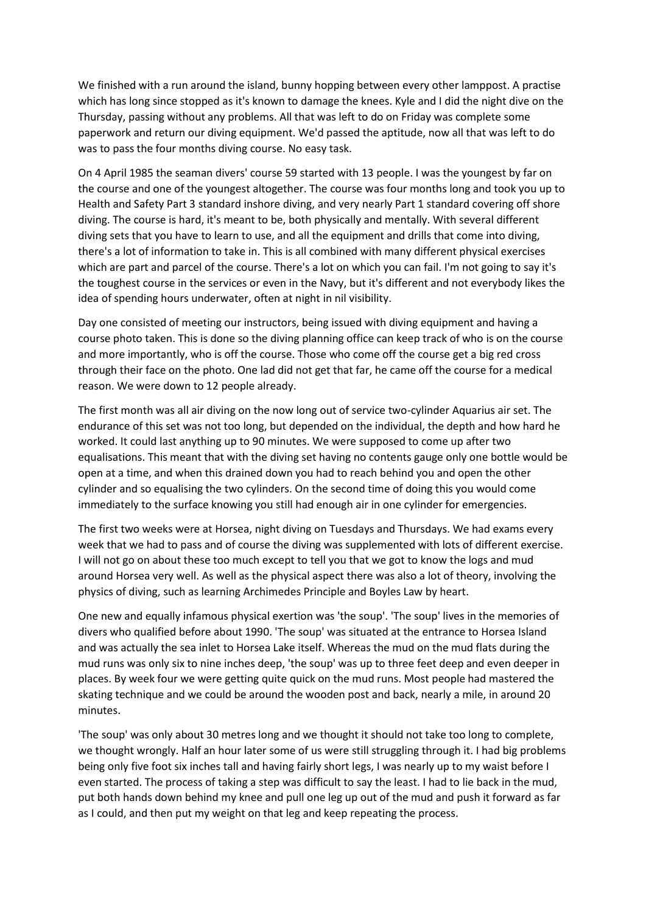We finished with a run around the island, bunny hopping between every other lamppost. A practise which has long since stopped as it's known to damage the knees. Kyle and I did the night dive on the Thursday, passing without any problems. All that was left to do on Friday was complete some paperwork and return our diving equipment. We'd passed the aptitude, now all that was left to do was to pass the four months diving course. No easy task.

On 4 April 1985 the seaman divers' course 59 started with 13 people. I was the youngest by far on the course and one of the youngest altogether. The course was four months long and took you up to Health and Safety Part 3 standard inshore diving, and very nearly Part 1 standard covering off shore diving. The course is hard, it's meant to be, both physically and mentally. With several different diving sets that you have to learn to use, and all the equipment and drills that come into diving, there's a lot of information to take in. This is all combined with many different physical exercises which are part and parcel of the course. There's a lot on which you can fail. I'm not going to say it's the toughest course in the services or even in the Navy, but it's different and not everybody likes the idea of spending hours underwater, often at night in nil visibility.

Day one consisted of meeting our instructors, being issued with diving equipment and having a course photo taken. This is done so the diving planning office can keep track of who is on the course and more importantly, who is off the course. Those who come off the course get a big red cross through their face on the photo. One lad did not get that far, he came off the course for a medical reason. We were down to 12 people already.

The first month was all air diving on the now long out of service two-cylinder Aquarius air set. The endurance of this set was not too long, but depended on the individual, the depth and how hard he worked. It could last anything up to 90 minutes. We were supposed to come up after two equalisations. This meant that with the diving set having no contents gauge only one bottle would be open at a time, and when this drained down you had to reach behind you and open the other cylinder and so equalising the two cylinders. On the second time of doing this you would come immediately to the surface knowing you still had enough air in one cylinder for emergencies.

The first two weeks were at Horsea, night diving on Tuesdays and Thursdays. We had exams every week that we had to pass and of course the diving was supplemented with lots of different exercise. I will not go on about these too much except to tell you that we got to know the logs and mud around Horsea very well. As well as the physical aspect there was also a lot of theory, involving the physics of diving, such as learning Archimedes Principle and Boyles Law by heart.

One new and equally infamous physical exertion was 'the soup'. 'The soup' lives in the memories of divers who qualified before about 1990. 'The soup' was situated at the entrance to Horsea Island and was actually the sea inlet to Horsea Lake itself. Whereas the mud on the mud flats during the mud runs was only six to nine inches deep, 'the soup' was up to three feet deep and even deeper in places. By week four we were getting quite quick on the mud runs. Most people had mastered the skating technique and we could be around the wooden post and back, nearly a mile, in around 20 minutes.

'The soup' was only about 30 metres long and we thought it should not take too long to complete, we thought wrongly. Half an hour later some of us were still struggling through it. I had big problems being only five foot six inches tall and having fairly short legs, I was nearly up to my waist before I even started. The process of taking a step was difficult to say the least. I had to lie back in the mud, put both hands down behind my knee and pull one leg up out of the mud and push it forward as far as I could, and then put my weight on that leg and keep repeating the process.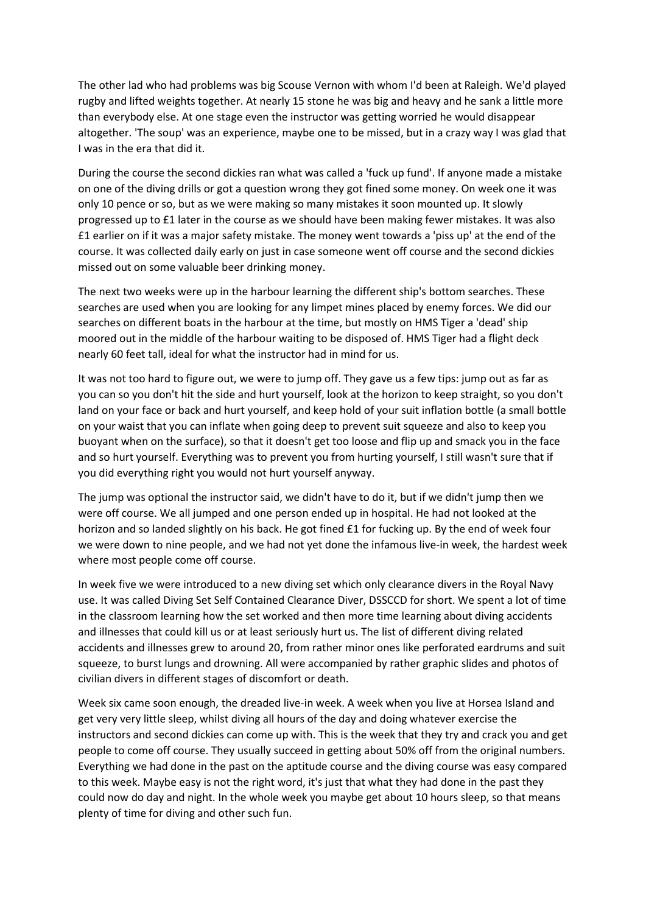The other lad who had problems was big Scouse Vernon with whom I'd been at Raleigh. We'd played rugby and lifted weights together. At nearly 15 stone he was big and heavy and he sank a little more than everybody else. At one stage even the instructor was getting worried he would disappear altogether. 'The soup' was an experience, maybe one to be missed, but in a crazy way I was glad that I was in the era that did it.

During the course the second dickies ran what was called a 'fuck up fund'. If anyone made a mistake on one of the diving drills or got a question wrong they got fined some money. On week one it was only 10 pence or so, but as we were making so many mistakes it soon mounted up. It slowly progressed up to £1 later in the course as we should have been making fewer mistakes. It was also £1 earlier on if it was a major safety mistake. The money went towards a 'piss up' at the end of the course. It was collected daily early on just in case someone went off course and the second dickies missed out on some valuable beer drinking money.

The next two weeks were up in the harbour learning the different ship's bottom searches. These searches are used when you are looking for any limpet mines placed by enemy forces. We did our searches on different boats in the harbour at the time, but mostly on HMS Tiger a 'dead' ship moored out in the middle of the harbour waiting to be disposed of. HMS Tiger had a flight deck nearly 60 feet tall, ideal for what the instructor had in mind for us.

It was not too hard to figure out, we were to jump off. They gave us a few tips: jump out as far as you can so you don't hit the side and hurt yourself, look at the horizon to keep straight, so you don't land on your face or back and hurt yourself, and keep hold of your suit inflation bottle (a small bottle on your waist that you can inflate when going deep to prevent suit squeeze and also to keep you buoyant when on the surface), so that it doesn't get too loose and flip up and smack you in the face and so hurt yourself. Everything was to prevent you from hurting yourself, I still wasn't sure that if you did everything right you would not hurt yourself anyway.

The jump was optional the instructor said, we didn't have to do it, but if we didn't jump then we were off course. We all jumped and one person ended up in hospital. He had not looked at the horizon and so landed slightly on his back. He got fined £1 for fucking up. By the end of week four we were down to nine people, and we had not yet done the infamous live-in week, the hardest week where most people come off course.

In week five we were introduced to a new diving set which only clearance divers in the Royal Navy use. It was called Diving Set Self Contained Clearance Diver, DSSCCD for short. We spent a lot of time in the classroom learning how the set worked and then more time learning about diving accidents and illnesses that could kill us or at least seriously hurt us. The list of different diving related accidents and illnesses grew to around 20, from rather minor ones like perforated eardrums and suit squeeze, to burst lungs and drowning. All were accompanied by rather graphic slides and photos of civilian divers in different stages of discomfort or death.

Week six came soon enough, the dreaded live-in week. A week when you live at Horsea Island and get very very little sleep, whilst diving all hours of the day and doing whatever exercise the instructors and second dickies can come up with. This is the week that they try and crack you and get people to come off course. They usually succeed in getting about 50% off from the original numbers. Everything we had done in the past on the aptitude course and the diving course was easy compared to this week. Maybe easy is not the right word, it's just that what they had done in the past they could now do day and night. In the whole week you maybe get about 10 hours sleep, so that means plenty of time for diving and other such fun.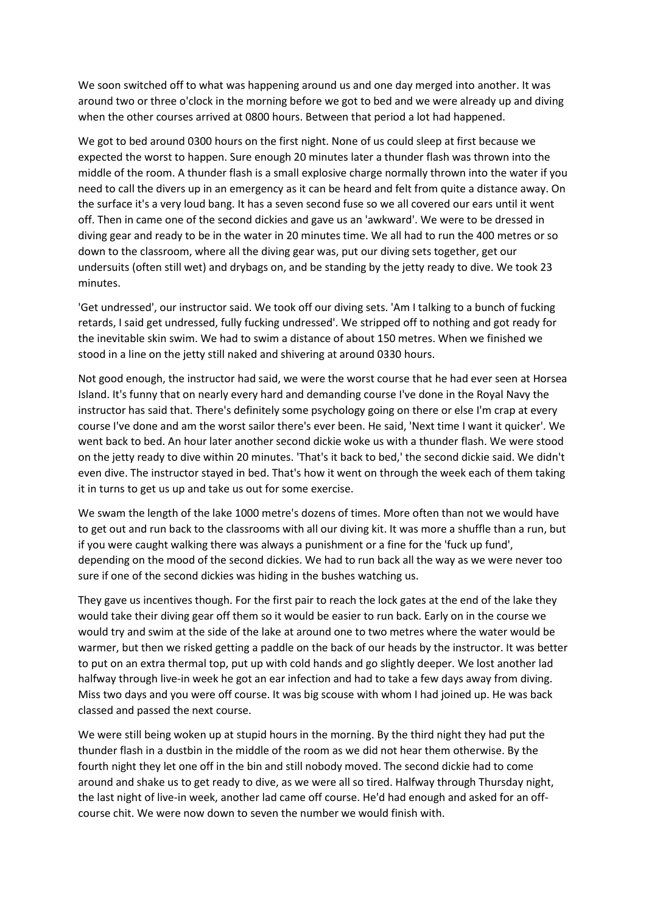We soon switched off to what was happening around us and one day merged into another. It was around two or three o'clock in the morning before we got to bed and we were already up and diving when the other courses arrived at 0800 hours. Between that period a lot had happened.

We got to bed around 0300 hours on the first night. None of us could sleep at first because we expected the worst to happen. Sure enough 20 minutes later a thunder flash was thrown into the middle of the room. A thunder flash is a small explosive charge normally thrown into the water if you need to call the divers up in an emergency as it can be heard and felt from quite a distance away. On the surface it's a very loud bang. It has a seven second fuse so we all covered our ears until it went off. Then in came one of the second dickies and gave us an 'awkward'. We were to be dressed in diving gear and ready to be in the water in 20 minutes time. We all had to run the 400 metres or so down to the classroom, where all the diving gear was, put our diving sets together, get our undersuits (often still wet) and drybags on, and be standing by the jetty ready to dive. We took 23 minutes.

'Get undressed', our instructor said. We took off our diving sets. 'Am I talking to a bunch of fucking retards, I said get undressed, fully fucking undressed'. We stripped off to nothing and got ready for the inevitable skin swim. We had to swim a distance of about 150 metres. When we finished we stood in a line on the jetty still naked and shivering at around 0330 hours.

Not good enough, the instructor had said, we were the worst course that he had ever seen at Horsea Island. It's funny that on nearly every hard and demanding course I've done in the Royal Navy the instructor has said that. There's definitely some psychology going on there or else I'm crap at every course I've done and am the worst sailor there's ever been. He said, 'Next time I want it quicker'. We went back to bed. An hour later another second dickie woke us with a thunder flash. We were stood on the jetty ready to dive within 20 minutes. 'That's it back to bed,' the second dickie said. We didn't even dive. The instructor stayed in bed. That's how it went on through the week each of them taking it in turns to get us up and take us out for some exercise.

We swam the length of the lake 1000 metre's dozens of times. More often than not we would have to get out and run back to the classrooms with all our diving kit. It was more a shuffle than a run, but if you were caught walking there was always a punishment or a fine for the 'fuck up fund', depending on the mood of the second dickies. We had to run back all the way as we were never too sure if one of the second dickies was hiding in the bushes watching us.

They gave us incentives though. For the first pair to reach the lock gates at the end of the lake they would take their diving gear off them so it would be easier to run back. Early on in the course we would try and swim at the side of the lake at around one to two metres where the water would be warmer, but then we risked getting a paddle on the back of our heads by the instructor. It was better to put on an extra thermal top, put up with cold hands and go slightly deeper. We lost another lad halfway through live-in week he got an ear infection and had to take a few days away from diving. Miss two days and you were off course. It was big scouse with whom I had joined up. He was back classed and passed the next course.

We were still being woken up at stupid hours in the morning. By the third night they had put the thunder flash in a dustbin in the middle of the room as we did not hear them otherwise. By the fourth night they let one off in the bin and still nobody moved. The second dickie had to come around and shake us to get ready to dive, as we were all so tired. Halfway through Thursday night, the last night of live-in week, another lad came off course. He'd had enough and asked for an offcourse chit. We were now down to seven the number we would finish with.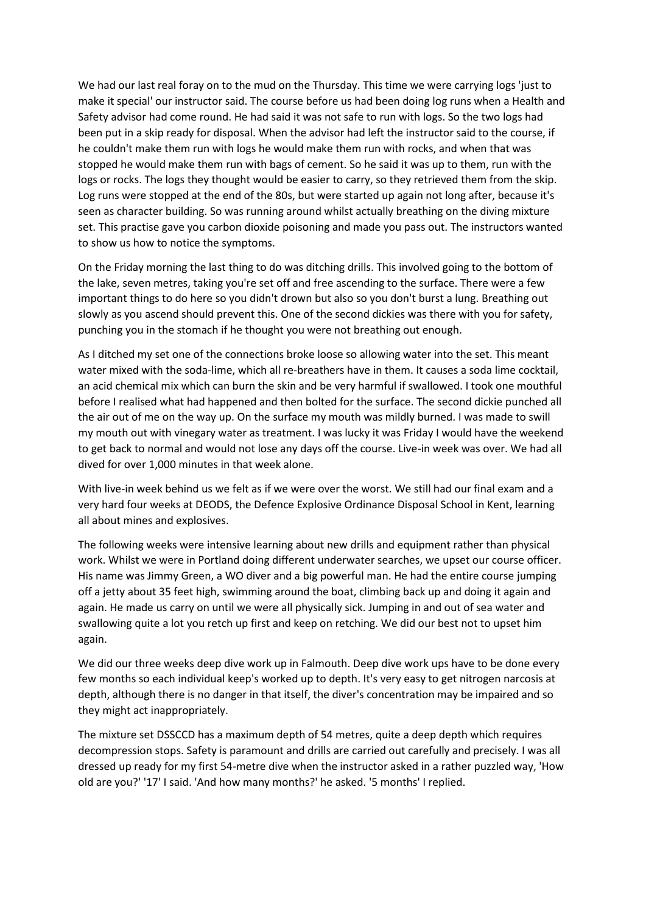We had our last real foray on to the mud on the Thursday. This time we were carrying logs 'just to make it special' our instructor said. The course before us had been doing log runs when a Health and Safety advisor had come round. He had said it was not safe to run with logs. So the two logs had been put in a skip ready for disposal. When the advisor had left the instructor said to the course, if he couldn't make them run with logs he would make them run with rocks, and when that was stopped he would make them run with bags of cement. So he said it was up to them, run with the logs or rocks. The logs they thought would be easier to carry, so they retrieved them from the skip. Log runs were stopped at the end of the 80s, but were started up again not long after, because it's seen as character building. So was running around whilst actually breathing on the diving mixture set. This practise gave you carbon dioxide poisoning and made you pass out. The instructors wanted to show us how to notice the symptoms.

On the Friday morning the last thing to do was ditching drills. This involved going to the bottom of the lake, seven metres, taking you're set off and free ascending to the surface. There were a few important things to do here so you didn't drown but also so you don't burst a lung. Breathing out slowly as you ascend should prevent this. One of the second dickies was there with you for safety, punching you in the stomach if he thought you were not breathing out enough.

As I ditched my set one of the connections broke loose so allowing water into the set. This meant water mixed with the soda-lime, which all re-breathers have in them. It causes a soda lime cocktail, an acid chemical mix which can burn the skin and be very harmful if swallowed. I took one mouthful before I realised what had happened and then bolted for the surface. The second dickie punched all the air out of me on the way up. On the surface my mouth was mildly burned. I was made to swill my mouth out with vinegary water as treatment. I was lucky it was Friday I would have the weekend to get back to normal and would not lose any days off the course. Live-in week was over. We had all dived for over 1,000 minutes in that week alone.

With live-in week behind us we felt as if we were over the worst. We still had our final exam and a very hard four weeks at DEODS, the Defence Explosive Ordinance Disposal School in Kent, learning all about mines and explosives.

The following weeks were intensive learning about new drills and equipment rather than physical work. Whilst we were in Portland doing different underwater searches, we upset our course officer. His name was Jimmy Green, a WO diver and a big powerful man. He had the entire course jumping off a jetty about 35 feet high, swimming around the boat, climbing back up and doing it again and again. He made us carry on until we were all physically sick. Jumping in and out of sea water and swallowing quite a lot you retch up first and keep on retching. We did our best not to upset him again.

We did our three weeks deep dive work up in Falmouth. Deep dive work ups have to be done every few months so each individual keep's worked up to depth. It's very easy to get nitrogen narcosis at depth, although there is no danger in that itself, the diver's concentration may be impaired and so they might act inappropriately.

The mixture set DSSCCD has a maximum depth of 54 metres, quite a deep depth which requires decompression stops. Safety is paramount and drills are carried out carefully and precisely. I was all dressed up ready for my first 54-metre dive when the instructor asked in a rather puzzled way, 'How old are you?' '17' I said. 'And how many months?' he asked. '5 months' I replied.